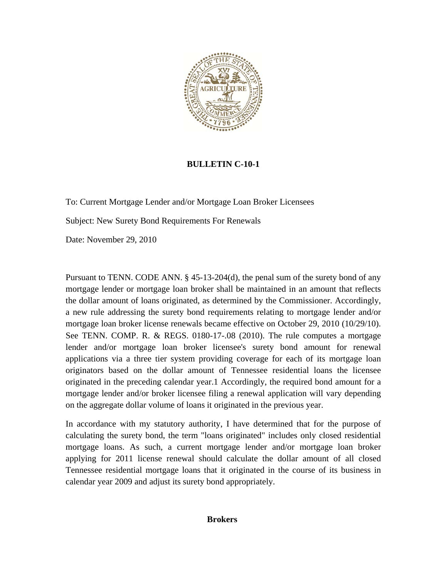

## **BULLETIN C-10-1**

To: Current Mortgage Lender and/or Mortgage Loan Broker Licensees

Subject: New Surety Bond Requirements For Renewals

Date: November 29, 2010

Pursuant to TENN. CODE ANN. § 45-13-204(d), the penal sum of the surety bond of any mortgage lender or mortgage loan broker shall be maintained in an amount that reflects the dollar amount of loans originated, as determined by the Commissioner. Accordingly, a new rule addressing the surety bond requirements relating to mortgage lender and/or mortgage loan broker license renewals became effective on October 29, 2010 (10/29/10). See TENN. COMP. R. & REGS. 0180-17-.08 (2010). The rule computes a mortgage lender and/or mortgage loan broker licensee's surety bond amount for renewal applications via a three tier system providing coverage for each of its mortgage loan originators based on the dollar amount of Tennessee residential loans the licensee originated in the preceding calendar year.1 Accordingly, the required bond amount for a mortgage lender and/or broker licensee filing a renewal application will vary depending on the aggregate dollar volume of loans it originated in the previous year.

In accordance with my statutory authority, I have determined that for the purpose of calculating the surety bond, the term "loans originated" includes only closed residential mortgage loans. As such, a current mortgage lender and/or mortgage loan broker applying for 2011 license renewal should calculate the dollar amount of all closed Tennessee residential mortgage loans that it originated in the course of its business in calendar year 2009 and adjust its surety bond appropriately.

## **Brokers**